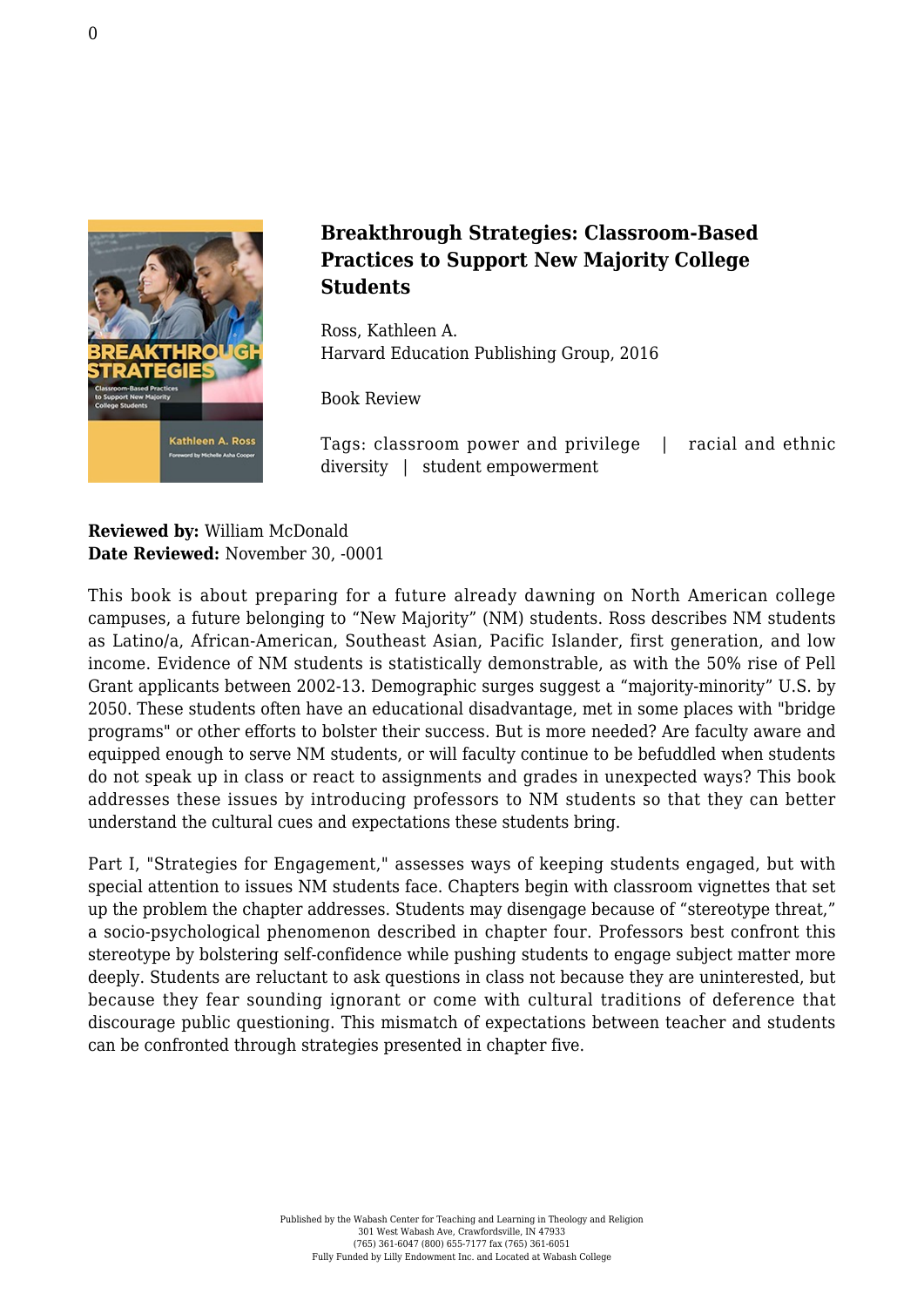

## **Breakthrough Strategies: Classroom-Based Practices to Support New Majority College Students**

Ross, Kathleen A. [Harvard Education Publishing Group, 2016](http://hepg.org/hep-home/books/breakthrough-strategies#)

Book Review

Tags: classroom power and privilege | racial and ethnic diversity | student empowerment

**Reviewed by:** William McDonald **Date Reviewed:** November 30, -0001

This book is about preparing for a future already dawning on North American college campuses, a future belonging to "New Majority" (NM) students. Ross describes NM students as Latino/a, African-American, Southeast Asian, Pacific Islander, first generation, and low income. Evidence of NM students is statistically demonstrable, as with the 50% rise of Pell Grant applicants between 2002-13. Demographic surges suggest a "majority-minority" U.S. by 2050. These students often have an educational disadvantage, met in some places with "bridge programs" or other efforts to bolster their success. But is more needed? Are faculty aware and equipped enough to serve NM students, or will faculty continue to be befuddled when students do not speak up in class or react to assignments and grades in unexpected ways? This book addresses these issues by introducing professors to NM students so that they can better understand the cultural cues and expectations these students bring.

Part I, "Strategies for Engagement," assesses ways of keeping students engaged, but with special attention to issues NM students face. Chapters begin with classroom vignettes that set up the problem the chapter addresses. Students may disengage because of "stereotype threat," a socio-psychological phenomenon described in chapter four. Professors best confront this stereotype by bolstering self-confidence while pushing students to engage subject matter more deeply. Students are reluctant to ask questions in class not because they are uninterested, but because they fear sounding ignorant or come with cultural traditions of deference that discourage public questioning. This mismatch of expectations between teacher and students can be confronted through strategies presented in chapter five.